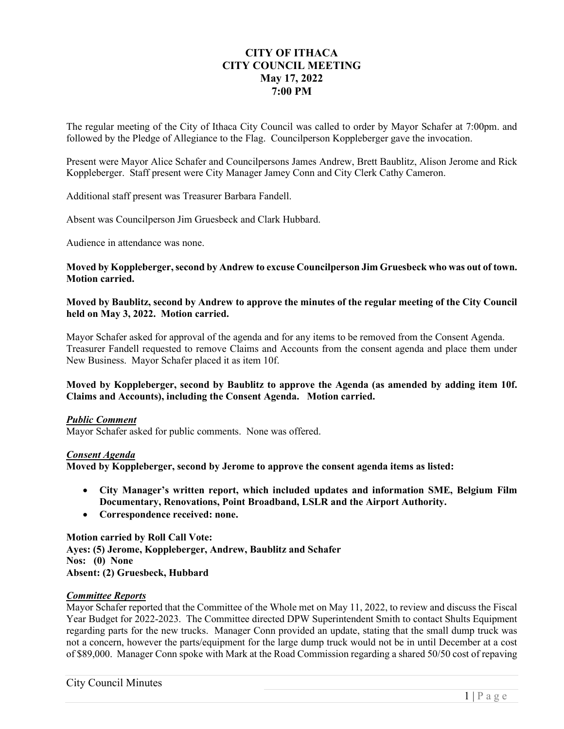# **CITY OF ITHACA CITY COUNCIL MEETING May 17, 2022 7:00 PM**

The regular meeting of the City of Ithaca City Council was called to order by Mayor Schafer at 7:00pm. and followed by the Pledge of Allegiance to the Flag. Councilperson Koppleberger gave the invocation.

Present were Mayor Alice Schafer and Councilpersons James Andrew, Brett Baublitz, Alison Jerome and Rick Koppleberger. Staff present were City Manager Jamey Conn and City Clerk Cathy Cameron.

Additional staff present was Treasurer Barbara Fandell.

Absent was Councilperson Jim Gruesbeck and Clark Hubbard.

Audience in attendance was none.

**Moved by Koppleberger, second by Andrew to excuse Councilperson Jim Gruesbeck who was out of town. Motion carried.** 

**Moved by Baublitz, second by Andrew to approve the minutes of the regular meeting of the City Council held on May 3, 2022. Motion carried.** 

Mayor Schafer asked for approval of the agenda and for any items to be removed from the Consent Agenda. Treasurer Fandell requested to remove Claims and Accounts from the consent agenda and place them under New Business. Mayor Schafer placed it as item 10f.

# **Moved by Koppleberger, second by Baublitz to approve the Agenda (as amended by adding item 10f. Claims and Accounts), including the Consent Agenda. Motion carried.**

# *Public Comment*

Mayor Schafer asked for public comments. None was offered.

# *Consent Agenda*

**Moved by Koppleberger, second by Jerome to approve the consent agenda items as listed:** 

- **City Manager's written report, which included updates and information SME, Belgium Film Documentary, Renovations, Point Broadband, LSLR and the Airport Authority.**
- **Correspondence received: none.**

**Motion carried by Roll Call Vote: Ayes: (5) Jerome, Koppleberger, Andrew, Baublitz and Schafer Nos: (0) None Absent: (2) Gruesbeck, Hubbard** 

# *Committee Reports*

Mayor Schafer reported that the Committee of the Whole met on May 11, 2022, to review and discuss the Fiscal Year Budget for 2022-2023. The Committee directed DPW Superintendent Smith to contact Shults Equipment regarding parts for the new trucks. Manager Conn provided an update, stating that the small dump truck was not a concern, however the parts/equipment for the large dump truck would not be in until December at a cost of \$89,000. Manager Conn spoke with Mark at the Road Commission regarding a shared 50/50 cost of repaving

City Council Minutes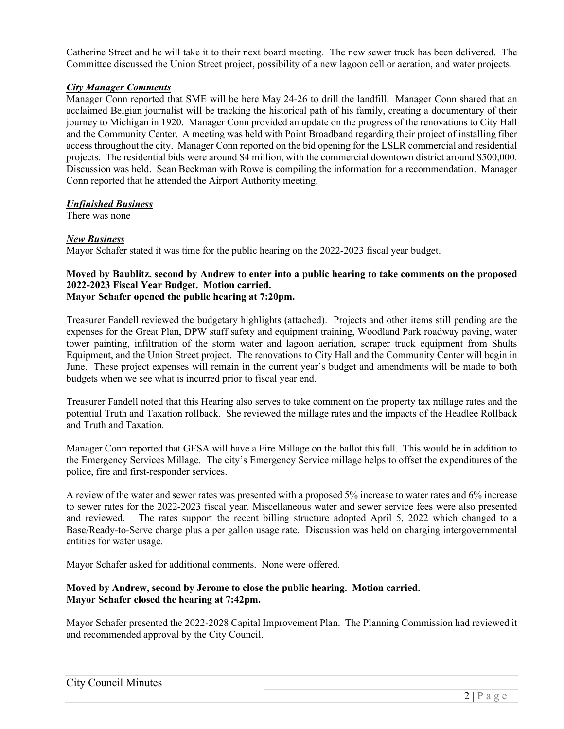Catherine Street and he will take it to their next board meeting. The new sewer truck has been delivered. The Committee discussed the Union Street project, possibility of a new lagoon cell or aeration, and water projects.

# *City Manager Comments*

Manager Conn reported that SME will be here May 24-26 to drill the landfill. Manager Conn shared that an acclaimed Belgian journalist will be tracking the historical path of his family, creating a documentary of their journey to Michigan in 1920. Manager Conn provided an update on the progress of the renovations to City Hall and the Community Center. A meeting was held with Point Broadband regarding their project of installing fiber access throughout the city. Manager Conn reported on the bid opening for the LSLR commercial and residential projects. The residential bids were around \$4 million, with the commercial downtown district around \$500,000. Discussion was held. Sean Beckman with Rowe is compiling the information for a recommendation. Manager Conn reported that he attended the Airport Authority meeting.

# *Unfinished Business*

There was none

# *New Business*

Mayor Schafer stated it was time for the public hearing on the 2022-2023 fiscal year budget.

#### **Moved by Baublitz, second by Andrew to enter into a public hearing to take comments on the proposed 2022-2023 Fiscal Year Budget. Motion carried. Mayor Schafer opened the public hearing at 7:20pm.**

Treasurer Fandell reviewed the budgetary highlights (attached). Projects and other items still pending are the expenses for the Great Plan, DPW staff safety and equipment training, Woodland Park roadway paving, water tower painting, infiltration of the storm water and lagoon aeriation, scraper truck equipment from Shults Equipment, and the Union Street project. The renovations to City Hall and the Community Center will begin in June. These project expenses will remain in the current year's budget and amendments will be made to both budgets when we see what is incurred prior to fiscal year end.

Treasurer Fandell noted that this Hearing also serves to take comment on the property tax millage rates and the potential Truth and Taxation rollback. She reviewed the millage rates and the impacts of the Headlee Rollback and Truth and Taxation.

Manager Conn reported that GESA will have a Fire Millage on the ballot this fall. This would be in addition to the Emergency Services Millage. The city's Emergency Service millage helps to offset the expenditures of the police, fire and first-responder services.

A review of the water and sewer rates was presented with a proposed 5% increase to water rates and 6% increase to sewer rates for the 2022-2023 fiscal year. Miscellaneous water and sewer service fees were also presented and reviewed. The rates support the recent billing structure adopted April 5, 2022 which changed to a Base/Ready-to-Serve charge plus a per gallon usage rate. Discussion was held on charging intergovernmental entities for water usage.

Mayor Schafer asked for additional comments. None were offered.

# **Moved by Andrew, second by Jerome to close the public hearing. Motion carried. Mayor Schafer closed the hearing at 7:42pm.**

Mayor Schafer presented the 2022-2028 Capital Improvement Plan. The Planning Commission had reviewed it and recommended approval by the City Council.